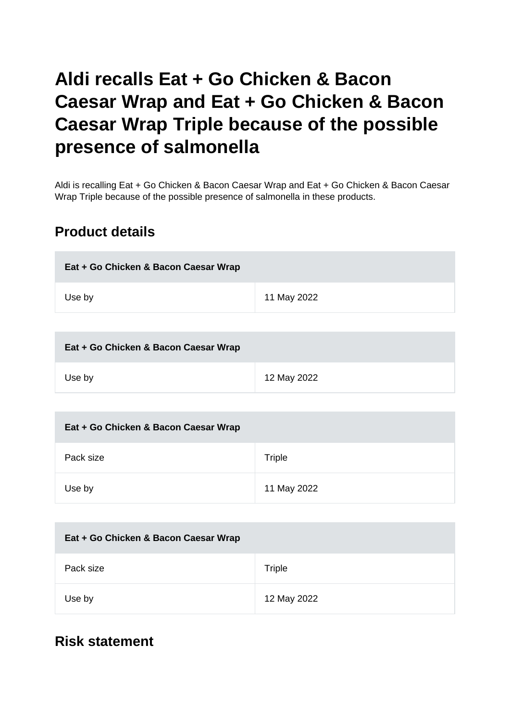# **Aldi recalls Eat + Go Chicken & Bacon Caesar Wrap and Eat + Go Chicken & Bacon Caesar Wrap Triple because of the possible presence of salmonella**

Aldi is recalling Eat + Go Chicken & Bacon Caesar Wrap and Eat + Go Chicken & Bacon Caesar Wrap Triple because of the possible presence of salmonella in these products.

# **Product details**

| Eat + Go Chicken & Bacon Caesar Wrap |             |
|--------------------------------------|-------------|
| Use by                               | 11 May 2022 |

| Eat + Go Chicken & Bacon Caesar Wrap |             |
|--------------------------------------|-------------|
| Use by                               | 12 May 2022 |

| Eat + Go Chicken & Bacon Caesar Wrap |             |
|--------------------------------------|-------------|
| Pack size                            | Triple      |
| Use by                               | 11 May 2022 |

| Eat + Go Chicken & Bacon Caesar Wrap |             |
|--------------------------------------|-------------|
| Pack size                            | Triple      |
| Use by                               | 12 May 2022 |

### **Risk statement**